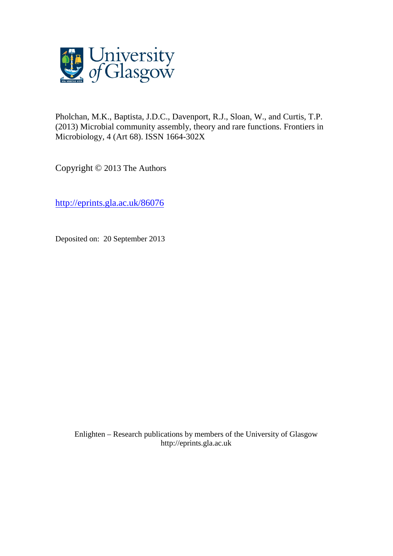

Pholchan, M.K., Baptista, J.D.C., Davenport, R.J., Sloan, W., and Curtis, T.P. (2013) Microbial community assembly, theory and rare functions. Frontiers in Microbiology, 4 (Art 68). ISSN 1664-302X

Copyright © 2013 The Authors

<http://eprints.gla.ac.uk/86076>

Deposited on: 20 September 2013

Enlighten – Research publications by members of the University of Glasgo[w](http://eprints.gla.ac.uk/) [http://eprints.gla.ac.uk](http://eprints.gla.ac.uk/)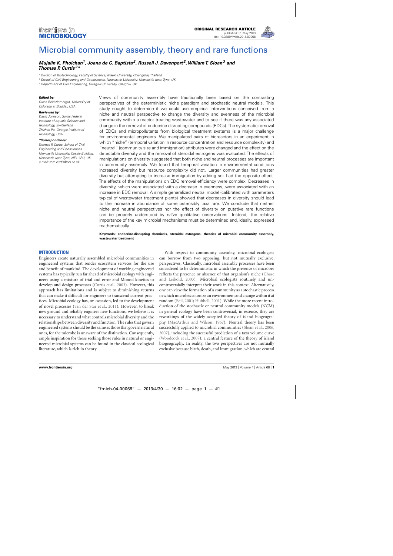

# [Microbial community assembly, theory and rare functions](http://www.frontiersin.org/Evolutionary_and_Genomic_Microbiology/10.3389/fmicb.2013.00068/abstract)

# *[Mujalin K. Pholchan](http://community.frontiersin.org/people/MujalinPholchan/64446)1, [Joana de C. Baptista2](http://www.frontiersin.org/Community/WhosWhoActivity.aspx?sname=JoanaBaptista&UID=58886), [Russell J. Davenport](http://www.frontiersin.org/Community/WhosWhoActivity.aspx?sname=RussellDavenport&UID=71562) 2,[William T. Sloan](http://www.frontiersin.org/Community/WhosWhoActivity.aspx?sname=WilliamSloan&UID=83968)3 and [Thomas P. Curtis](http://www.frontiersin.org/Community/WhosWhoActivity.aspx?sname=ThomasCurtis&UID=64046) 2\**

<sup>1</sup> Division of Biotechnology, Faculty of Science, Maejo University, ChiangMai, Thailand

<sup>2</sup> School of Civil Engineering and Geosciences, Newcastle University, Newcastle upon Tyne, UK

<sup>3</sup> Department of Civil Engineering, Glasgow University, Glasgow, UK

#### *Edited by:*

Diana Reid Nemergut, University of Colorado at Boulder, USA

#### *Reviewed by:*

David Johnson, Swiss Federal Institute of Aquatic Science and Technology, Switzerland Zhichao Pu, Georgia Institute of Technology, USA

#### *\*Correspondence:*

Thomas P. Curtis, School of Civil Engineering and Geosciences, Newcastle University, Cassie Building, Newcastle upon Tyne, NE1 7RU, UK. e-mail: [tom.curtis@ncl.ac.uk](mailto:tom.curtis@ncl.ac.uk)

Views of community assembly have traditionally been based on the contrasting perspectives of the deterministic niche paradigm and stochastic neutral models. This study sought to determine if we could use empirical interventions conceived from a niche and neutral perspective to change the diversity and evenness of the microbial community within a reactor treating wastewater and to see if there was any associated change in the removal of endocrine disrupting compounds (EDCs). The systematic removal of EDCs and micropollutants from biological treatment systems is a major challenge for environmental engineers. We manipulated pairs of bioreactors in an experiment in which "niche" (temporal variation in resource concentration and resource complexity) and "neutral" (community size and immigration) attributes were changed and the effect on the detectable diversity and the removal of steroidal estrogens was evaluated. The effects of manipulations on diversity suggested that both niche and neutral processes are important in community assembly. We found that temporal variation in environmental conditions increased diversity but resource complexity did not. Larger communities had greater diversity but attempting to increase immigration by adding soil had the opposite effect. The effects of the manipulations on EDC removal efficiency were complex. Decreases in diversity, which were associated with a decrease in evenness, were associated with an increase in EDC removal. A simple generalized neutral model (calibrated with parameters typical of wastewater treatment plants) showed that decreases in diversity should lead to the increase in abundance of some ostensibly taxa rare. We conclude that neither niche and neutral perspectives nor the effect of diversity on putative rare functions can be properly understood by naïve qualitative observations. Instead, the relative importance of the key microbial mechanisms must be determined and, ideally, expressed mathematically.

**Keywords: endocrine-disrupting chemicals, steroidal estrogens, theories of microbial community assembly, wastewater treatment**

## **INTRODUCTION**

Engineers create naturally assembled microbial communities in engineered systems that render ecosystem services for the use and benefit of mankind. The development of working engineered systems has typically run far ahead of microbial ecology with engineers using a mixture of trial and error and Monod kinetics to develop and design processes [\(Curtis et al., 2003\)](#page-8-0). However, this approach has limitations and is subject to diminishing returns that can make it difficult for engineers to transcend current practices. Microbial ecology has, on occasion, led to the development of novel processes [\(van der Star et al.](#page-8-0), [2011](#page-8-0)). However, to break new ground and reliably engineer new functions, we believe it is necessary to understand what controls microbial diversity and the relationships between diversity and function. The rules that govern engineered systems should be the same as those that govern natural ones, for the microbe is unaware of the distinction. Consequently, ample inspiration for those seeking those rules in natural or engineered microbial systems can be found in the classical ecological literature, which is rich in theory.

With respect to community assembly, microbial ecologists can borrow from two opposing, but not mutually exclusive, perspectives. Classically, microbial assembly processes have been considered to be deterministic in which the presence of microbes reflects the [presence](#page-8-0) [or](#page-8-0) [absence](#page-8-0) [of](#page-8-0) [that](#page-8-0) [organism's](#page-8-0) [niche](#page-8-0) [\(](#page-8-0)Chase and Leibold, [2003\)](#page-8-0). Microbial ecologists routinely and uncontroversially interpret their work in this context. Alternatively, one can view the formation of a community as a stochastic process in which microbes colonize an environment and change within it at random [\(Bell, 2001](#page-8-0); [Hubbell](#page-8-0), [2001](#page-8-0)). While the more recent introduction of the stochastic or neutral community models (NCM) in general ecology have been controversial, in essence, they are reworkings of the widely accepted theory of island biogeography [\(MacArthur and Wilson](#page-8-0), [1967\)](#page-8-0). Neutral theory has been successfully applied to microbial communities [\(Sloan et al.](#page-8-0), [2006](#page-8-0), [2007\)](#page-8-0), including the successful prediction of a taxa volume curve [\(Woodcock et al., 2007\)](#page-9-0), a central feature of the theory of island biogeography. In reality, the two perspectives are not mutually exclusive because birth, death, and immigration, which are central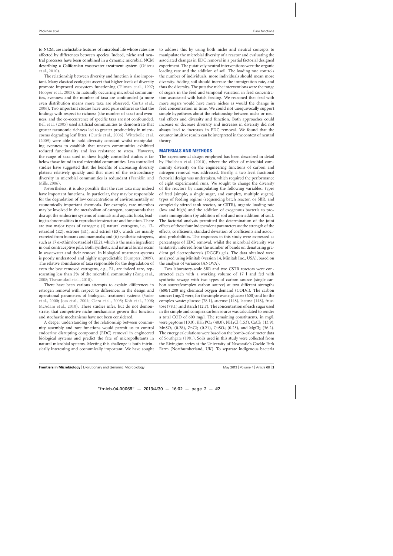to NCM, are ineluctable features of microbial life whose rates are affected by differences between species. Indeed, niche and neutral processes have been combined in a dynamic microbial NCM desc[ribing a Californian wastewater treatment system \(](#page-8-0)Ofiteru et al., [2010](#page-8-0)).

The relationship between diversity and function is also important. Many classical ecologists assert that higher levels of diversity promote improved ecosystem functioning [\(Tilman et al., 1997;](#page-8-0) [Hooper et al., 2005](#page-8-0)). In naturally occurring microbial communities, evenness and the number of taxa are confounded (a more even distribution means more taxa are observed; [Curtis et al.](#page-8-0), [2006\)](#page-8-0). Two important studies have used pure cultures so that the findings with respect to richness (the number of taxa) and evenness, and the co-occurrence of specific taxa are not confounded. [Bell et al.](#page-8-0) [\(2005](#page-8-0)) used artificial communities to demonstrate that greater taxonomic richness led to greater productivity in microcosms degrading leaf litter. [\(Curtis et al.](#page-8-0), [2006](#page-8-0)). [Wittebolle et al.](#page-8-0) [\(2009](#page-8-0)) were able to hold diversity constant whilst manipulating evenness to establish that uneven communities exhibited reduced functionality and less resistance to stress. However, the range of taxa used in these highly controlled studies is far below those found in real microbial communities. Less controlled studies have suggested that the benefits of increasing diversity plateau relatively quickly and that most of the extraordinary diver[sity](#page-8-0) [in](#page-8-0) [microbial](#page-8-0) [communities](#page-8-0) [is](#page-8-0) [redundant](#page-8-0) [\(](#page-8-0)Franklin and Mills, [2006\)](#page-8-0).

Nevertheless, it is also possible that the rare taxa may indeed have important functions. In particular, they may be responsible for the degradation of low concentrations of environmentally or economically important chemicals. For example, rare microbes may be involved in the metabolism of estrogen, compounds that disrupt the endocrine systems of animals and aquatic biota, leading to abnormalities in reproductive structure and function. There are two major types of estrogens; (i) natural estrogens, i.e., 17 estradiol (E2), estrone (E1), and estriol (E3), which are mainly excreted from humans and mammals; and (ii) synthetic estrogens, such as  $17 \alpha$ -ethinyloestradiol (EE2), which is the main ingredient in oral contraceptive pills. Both synthetic and natural forms occur in wastewater and their removal in biological treatment systems is poorly understood and highly unpredictable [\(Sumpter](#page-8-0), [2009](#page-8-0)). The relative abundance of taxa responsible for the degradation of even the best removed estrogens, e.g., E1, are indeed rare, representing less than 2% of the microbial community [\(Zang et al.](#page-9-0), [2008;](#page-9-0) [Thayanukul et al., 2010](#page-8-0)).

There have been various attempts to explain differences in estrogen removal with respect to differences in the design and oper[ational](#page-8-0) [parameters](#page-8-0) [of](#page-8-0) [biological](#page-8-0) [treatment](#page-8-0) [systems](#page-8-0) [\(](#page-8-0)Vader et al., [2000](#page-8-0); [Joss et al.](#page-8-0), [2004;](#page-8-0) [Clara et al., 2005](#page-8-0); [Koh et al.](#page-8-0), [2008;](#page-8-0) [McAdam et al.](#page-8-0), [2010](#page-8-0)). These studies infer, but do not demonstrate, that competitive niche mechanisms govern this function and stochastic mechanisms have not been considered.

A deeper understanding of the relationship between community assembly and rare functions would permit us to control endocrine disrupting compound (EDC) removal in engineered biological systems and predict the fate of micropollutants in natural microbial systems. Meeting this challenge is both intrinsically interesting and economically important. We have sought to address this by using both niche and neutral concepts to manipulate the microbial diversity of a reactor and evaluating the associated changes in EDC removal in a partial factorial designed experiment. The putatively neutral interventions were the organic loading rate and the addition of soil. The loading rate controls the number of individuals, more individuals should mean more diversity. Adding soil should increase the immigration rate, and thus the diversity. The putative niche interventions were the range of sugars in the feed and temporal variation in feed concentration associated with batch feeding. We reasoned that feed with more sugars would have more niches as would the change in feed concentration in time. We could not unequivocally support simple hypotheses about the relationship between niche or neutral effects and diversity and function. Both approaches could increase or decrease diversity and increases in diversity did not always lead to increases in EDC removal. We found that the counter intuitive results can be interpreted in the context of neutral theory.

# **MATERIALS AND METHODS**

The experimental design employed has been described in detail by [Pholchan et al.](#page-8-0) [\(2010\)](#page-8-0), where the effect of microbial community diversity on the engineering functions of carbon and nitrogen removal was addressed. Briefly, a two level fractional factorial design was undertaken, which required the performance of eight experimental runs. We sought to change the diversity of the reactors by manipulating the following variables: types of feed (simple, a single sugar, and complex, multiple sugars), types of feeding regime (sequencing batch reactor, or SBR, and completely stirred tank reactor, or CSTR), organic loading rate (low and high) and the addition of exogenous bacteria to promote immigration (by addition of soil and non-addition of soil). The factorial analysis permitted the determination of the joint effects of these four independent parameters as: the strength of the effects, coefficients, standard deviation of coefficients and associated probabilities. The responses in this study were expressed as percentages of EDC removal, whilst the microbial diversity was tentatively inferred from the number of bands on denaturing gradient gel electrophoresis (DGGE) gels. The data obtained were analyzed using Minitab (version 14, Minitab Inc., USA), based on the analysis of variance (ANOVA).

Two laboratory-scale SBR and two CSTR reactors were constructed each with a working volume of 17 l and fed with synthetic sewage with two types of carbon source (single carbon source/complex carbon source) at two different strengths (600/1,200 mg chemical oxygen demand (COD/l). The carbon sources (mg/l) were, for the simple waste, glucose (600) and for the complex waste: glucose (78.1), sucrose (148), lactose (148), fructose (78.1), and starch (12.7). The concentration of each sugar used in the simple and complex carbon source was calculated to render a total COD of 600 mg/l. The remaining constituents, in mg/l, were peptone (10.0), KH<sub>2</sub>PO<sub>4</sub> (40.0), NH<sub>4</sub>Cl (153), CaCl<sub>2</sub> (13.9),  $MnSO_4$  (0.28),  $ZnCl_2$  (0.21),  $CuSO_4$  (0.25), and  $MgCl_2$  (36.2). The energy calculations were based on the bomb-calorimeter data of [Southgate](#page-8-0) [\(1981](#page-8-0)). Soils used in this study were collected from the Rivington series at the University of Newcastle's Cockle Park Farm (Northumberland, UK). To separate indigenous bacteria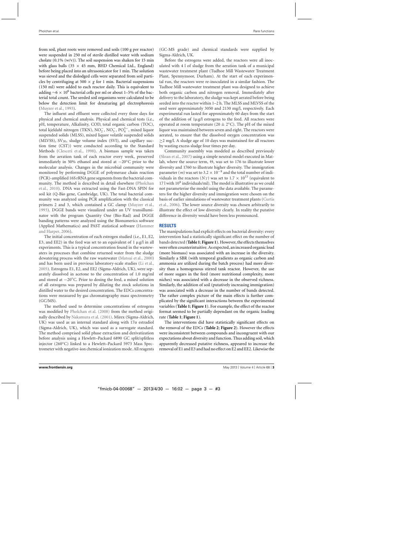from soil, plant roots were removed and soils (100 g per reactor) were suspended in 250 ml of sterile distilled water with sodium cholate  $(0.1\%$  (w/v)). The soil suspension was shaken for 15 min with glass balls (35  $\times$  45 mm, BHD Chemical Ltd., England) before being placed into an ultrasonicator for 1 min. The solution was sieved and the dislodged cells were separated from soil particles by centrifuging at 500  $\times$  *g* for 1 min. Bacterial suspensions (150 ml) were added to each reactor daily. This is equivalent to adding  $\sim$ 6 × 10<sup>6</sup> bacterial cells per ml or about 1–5% of the bacterial total count. The seeded soil organisms were calculated to be below the detection limit for denaturing gel electrophoresis [\(Muyzer et al., 1993](#page-8-0)).

The influent and effluent were collected every three days for physical and chemical analysis. Physical and chemical tests (i.e., pH, temperature, Alkalinity, COD, total organic carbon (TOC), total kjeldahl nitrogen (TKN),  $NO_2^-$ ,  $NO_3^-$ ,  $PO_4^{3-}$ , mixed liquor suspended solids (MLSS), mixed liquor volatile suspended solids (MLVSS),  $SV_{30}$ , sludge volume index (SVI), and capillary suction time (CST)) were conducted according to the Standard Methods [\(Clesceri et al., 1998\)](#page-8-0). A biomass sample was taken from the aeration tank of each reactor every week, preserved immediately in 50% ethanol and stored at −20◦C prior to the molecular analysis. Changes in the microbial community were monitored by performing DGGE of polymerase chain reaction (PCR)-amplified 16S rRNA gene segments from the bacterial commu[nity. The method is described in detail elsewhere \(](#page-8-0)Pholchan et al., [2010](#page-8-0)). DNA was extracted using the Fast-DNA SPIN for soil kit (Q-Bio gene, Cambridge, UK). The total bacterial community was analyzed using PCR amplification with the classical primers 2 and 3, which contained a GC clamp [\(Muyzer et al.](#page-8-0), [1993\)](#page-8-0). DGGE bands were visualized under an UV transilluminator with the program Quantity One (Bio-Rad) and DGGE banding patterns were analyzed using the Bionumerics software (Applied [Mathematics\) and PAST statistical software \(](#page-8-0)Hammer and Harper, [2006\)](#page-8-0).

The initial concentration of each estrogen studied (i.e., E1, E2, E3, and EE2) in the feed was set to an equivalent of  $1 \mu g/l$  in all experiments. This is a typical concentration found in the wastewaters in processes that combine returned water from the sludge dewatering process with the raw wastewater [\(Matsui et al., 2000\)](#page-8-0) and has been used in previous laboratory-scale studies [\(Li et al.](#page-8-0), [2005\)](#page-8-0). Estrogens E1, E2, and EE2 (Sigma-Aldrich, UK), were separately dissolved in acetone to the concentration of 1.0 mg/ml and stored at −20◦C. Prior to dosing the feed, a mixed solution of all estrogens was prepared by diluting the stock solutions in distilled water to the desired concentration. The EDCs concentrations were measured by gas chromatography mass spectrometry (GC/MS).

The method used to determine concentrations of estrogens was modified by [Pholchan et al.](#page-8-0) [\(2008\)](#page-8-0) from the method originally described by [Nakamura et al.](#page-8-0) [\(2001\)](#page-8-0). Mirex (Sigma-Aldrich, UK) was used as an internal standard along with 17α estradiol (Sigma-Aldrich, UK), which was used as a surrogate standard. The method comprised solid phase extraction and derivatization before analysis using a Hewlett–Packard 6890 GC split/splitless injector (260◦C) linked to a Hewlett–Packard 5973 Mass Spectrometer with negative-ion chemical ionization mode. All reagents

(GC-MS grade) and chemical standards were supplied by Sigma-Aldrich, UK.

Before the estrogens were added, the reactors were all inoculated with 4 l of sludge from the aeration tank of a municipal wastewater treatment plant (Tudhoe Mill Wastewater Treatment Plant, Spennymoor, Durham). At the start of each experimental run, the reactors were re-inoculated in a similar fashion. The Tudhoe Mill wastewater treatment plant was designed to achieve both organic carbon and nitrogen removal. Immediately after delivery to the laboratory, the sludge was kept aerated before being seeded into the reactor within 1–2 h. The MLSS and MLVSS of the seed were approximately 3050 and 2130 mg/l, respectively. Each experimental run lasted for approximately 60 days from the start of the addition of 1μg/l estrogens to the feed. All reactors were operated at room temperature (20  $\pm$  2<sup>°</sup>C). The pH of the mixed liquor was maintained between seven and eight. The reactors were aerated, to ensure that the dissolved oxygen concentration was ≥2 mg/l. A sludge age of 10 days was maintained for all reactors by wasting excess sludge four times per day.

Community assembly was modeled as described previously [\(Sloan et al.](#page-8-0), [2007\)](#page-8-0) using a simple neutral model executed in Matlab, where the source term,  $\Theta$ , was set to 176 to illustrate lower diversity and 1760 to illustrate higher diversity. The immigration parameter  $(m)$  was set to 3.2 × 10<sup>-9</sup> and the total number of individuals in the reactors  $(N_T)$  was set to 1.7  $\times$  10<sup>13</sup> (equivalent to 17 l with  $10^9$  individuals/ml). The model is illustrative as we could not parameterise the model using the data available. The parameters for the higher diversity and immigration were chosen on the basi[s of earlier simulations of wastewater treatment plants \(](#page-8-0)Curtis et al., [2006\)](#page-8-0). The lower source diversity was chosen arbitrarily to illustrate the effect of low diversity clearly. In reality the putative difference in diversity would have been less pronounced.

# **RESULTS**

The manipulations had explicit effects on bacterial diversity: every intervention had a statistically significant effect on the number of bands detected (**[Table 1](#page-4-0)**; **[Figure 1](#page-4-0)**). However, the effects themselves were often counterintuitive. As expected, an increased organic load (more biomass) was associated with an increase in the diversity. Similarly a SBR (with temporal gradients as organic carbon and ammonia are utilized during the batch process) had more diversity than a homogenous stirred tank reactor. However, the use of more sugars in the feed (more nutritional complexity, more niches) was associated with a decrease in the observed richness. Similarly, the addition of soil (putatively increasing immigration) was associated with a decrease in the number of bands detected. The rather complex picture of the main effects is further complicated by the significant interactions between the experimental variables (**[Table 1](#page-4-0)**; **[Figure 1](#page-4-0)**). For example, the effect of the reactor format seemed to be partially dependant on the organic loading rate (**[Table 1](#page-4-0)**; **[Figure 1](#page-4-0)**).

The interventions did have statistically significant effects on the removal of the EDCs (**[Table 2](#page-5-0)**; **[Figure 2](#page-6-0)**). However the effects were inconsistent between compounds and incongruent with our expectations about diversity and function. Thus adding soil, which apparently decreased putative richness, appeared to increase the removal of E1 and E3 and had no effect on E2 and EE2. Likewise the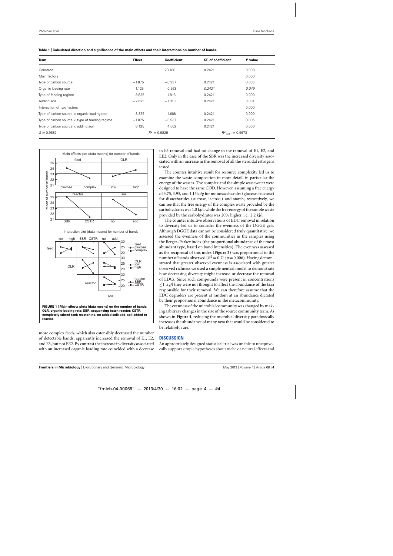<span id="page-4-0"></span>

| Table 1   Calculated direction and significance of the main effects and their interactions on number of bands. |  |
|----------------------------------------------------------------------------------------------------------------|--|
|----------------------------------------------------------------------------------------------------------------|--|

| <b>Term</b>                                           | <b>Effect</b>  | <b>Coefficient</b> | <b>SE</b> of coefficient | P value                         |  |
|-------------------------------------------------------|----------------|--------------------|--------------------------|---------------------------------|--|
| Constant                                              |                | 23.188             | 0.2421                   | 0.000                           |  |
| Main factors                                          |                |                    |                          | 0.000                           |  |
| Type of carbon source                                 | $-1.875$       | $-0.937$           | 0.2421                   | 0.005                           |  |
| Organic loading rate                                  | 1.125          | 0.563              | 0.2421                   | 0.049                           |  |
| Type of feeding regime                                | $-3.625$       | $-1.813$           | 0.2421                   | 0.000                           |  |
| Adding soil                                           | $-2.625$       | $-1.313$           | 0.2421                   | 0.001                           |  |
| Interaction of two factors                            |                |                    |                          | 0.000                           |  |
| Type of carbon source $\times$ organic loading rate   | 3.375          | 1.688              | 0.2421                   | 0.000                           |  |
| Type of carbon source $\times$ type of feeding regime | $-1.875$       | $-0.937$           | 0.2421                   | 0.005                           |  |
| Type of carbon source $\times$ adding soil            | 8.125          | 4.062              | 0.2421                   | 0.000                           |  |
| $S = 0.9682$                                          | $R^2 = 0.9826$ |                    |                          | $R^2$ <sub>(adj)</sub> = 0.9673 |  |



more complex feeds, which also ostensibly decreased the number of detectable bands, apparently increased the removal of E1, E2, and E3, but not EE2. By contrast the increase in diversity associated with an increased organic loading rate coincided with a decrease in E3 removal and had no change in the removal of E1, E2, and EE2. Only in the case of the SBR was the increased diversity associated with an increase in the removal of all the steroidal estrogens tested.

The counter intuitive result for resource complexity led us to examine the waste composition in more detail, in particular the energy of the wastes. The complex and the simple wastewater were designed to have the same COD. However, assuming a free energy of 3.75, 3.95, and 4.15 kj/g for monosaccharides (glucose, fructose) for disaccharides (sucrose, lactose,) and starch, respectively, we can see that the free energy of the complex waste provided by the carbohydrates was 1.8 kj/l, while the free energy of the simple waste provided by the carbohydrates was 20% higher, i.e., 2.2 kj/l.

The counter intuitive observations of EDC removal in relation to diversity led us to consider the evenness of the DGGE gels. Although DGGE data cannot be considered truly quantitative, we assessed the evenness of the communities in the samples using the Berger–Parker index (the proportional abundance of the most abundant type, based on band intensities). The evenness assessed as the reciprocal of this index (**[Figure 3](#page-6-0)**) was proportional to the number of bands observed ( $R^2 = 0.74$ ;  $p = 0.006$ ). Having demonstrated that greater observed evenness is associated with greater observed richness we used a simple neutral model to demonstrate how decreasing diversity might increase or decrease the removal of EDCs. Since such compounds were present in concentrations  $\leq$ 1 μg/l they were not thought to affect the abundance of the taxa responsible for their removal. We can therefore assume that the EDC degraders are present at random at an abundance dictated by their proportional abundance in the metacommunity.

The evenness of the microbial community was changed by making arbitrary changes in the size of the source community term. As shown in **[Figure 4](#page-6-0)**, reducing the microbial diversity paradoxically increases the abundance of many taxa that would be considered to be relatively rare.

## **DISCUSSION**

An appropriately designed statistical trial was unable to unequivocally support simple hypotheses about niche or neutral effects and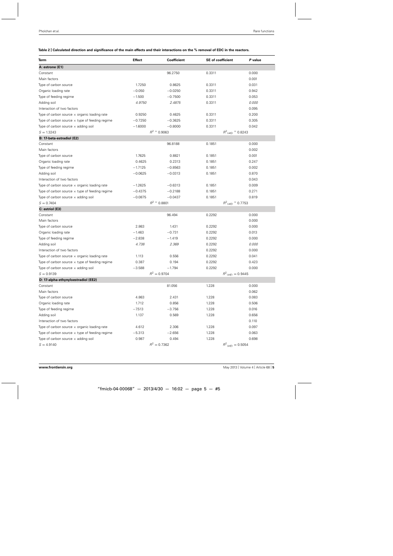# <span id="page-5-0"></span>**Table 2 | Calculated direction and significance of the main effects and their interactions on the % removal of EDC in the reactors.**

| Term                                                  | <b>Effect</b>  | <b>Coefficient</b> | <b>SE</b> of coefficient        | P value |
|-------------------------------------------------------|----------------|--------------------|---------------------------------|---------|
| A: estrone (E1)                                       |                |                    |                                 |         |
| Constant                                              |                | 96.2750            | 0.3311                          | 0.000   |
| Main factors                                          |                |                    |                                 | 0.001   |
| Type of carbon source                                 | 1.7250         | 0.8625             | 0.3311                          | 0.031   |
| Organic loading rate                                  | $-0.050$       | $-0.0250$          | 0.3311                          | 0.942   |
| Type of feeding regime                                | $-1.500$       | $-0.7500$          | 0.3311                          | 0.053   |
| Adding soil                                           | 4.9750         | 2.4875             | 0.3311                          | 0.000   |
| Interaction of two factors                            |                |                    |                                 | 0.095   |
| Type of carbon source $\times$ organic loading rate   | 0.9250         | 0.4625             | 0.3311                          | 0.200   |
| Type of carbon source $\times$ type of feeding regime | $-0.7250$      | $-0.3625$          | 0.3311                          | 0.305   |
| Type of carbon source $\times$ adding soil            | $-1.6000$      | $-0.8000$          | 0.3311                          | 0.042   |
| $S = 1.3243$                                          |                | $R^2$ = 0.9063     | $R^2$ <sub>(adj)</sub> = 0.8243 |         |
| B: 17-beta-estradiol (E2)                             |                |                    |                                 |         |
| Constant                                              |                | 96.8188            | 0.1851                          | 0.000   |
| Main factors                                          |                |                    |                                 | 0.002   |
| Type of carbon source                                 | 1.7625         | 0.8821             | 0.1851                          | 0.001   |
| Organic loading rate                                  | 0.4625         | 0.2313             | 0.1851                          | 0.247   |
| Type of feeding regime                                | $-1.7125$      | $-0.8563$          | 0.1851                          | 0.002   |
| Adding soil                                           | $-0.0625$      | $-0.0313$          | 0.1851                          | 0.870   |
| Interaction of two factors                            |                |                    |                                 | 0.043   |
| Type of carbon source $\times$ organic loading rate   | $-1.2625$      | $-0.6313$          | 0.1851                          | 0.009   |
| Type of carbon source $\times$ type of feeding regime | $-0.4375$      | $-0.2188$          | 0.1851                          | 0.271   |
| Type of carbon source $\times$ adding soil            | $-0.0875$      | $-0.0437$          | 0.1851                          | 0.819   |
| $S = 0.7404$                                          |                | $R^2$ = 0.8801     | $R^2$ <sub>(adj)</sub> = 0.7753 |         |
| C: estriol (E3)                                       |                |                    |                                 |         |
| Constant                                              |                | 96.494             | 0.2292                          | 0.000   |
| Main factors                                          |                |                    |                                 | 0.000   |
| Type of carbon source                                 | 2.863          | 1.431              | 0.2292                          | 0.000   |
| Organic loading rate                                  | $-1.463$       | $-0.731$           | 0.2292                          | 0.013   |
| Type of feeding regime                                | $-2.838$       | $-1.419$           | 0.2292                          | 0.000   |
| Adding soil                                           | 4.738          | 2.369              | 0.2292                          | 0.000   |
| Interaction of two factors                            |                |                    | 0.2292                          | 0.000   |
| Type of carbon source $\times$ organic loading rate   | 1.113          | 0.556              | 0.2292                          | 0.041   |
| Type of carbon source $\times$ type of feeding regime | 0.387          | 0.194              | 0.2292                          | 0.423   |
| Type of carbon source $\times$ adding soil            | $-3.588$       | $-1.794$           | 0.2292                          | 0.000   |
| $S = 0.9139$                                          |                | $R^2 = 0.9704$     | $R^2$ <sub>(adj)</sub> = 0.9445 |         |
| D: 17-alpha-ethynyloestradiol (EE2)                   |                |                    |                                 |         |
| Constant                                              |                | 81.056             | 1.228                           | 0.000   |
| Main factors                                          |                |                    |                                 | 0.062   |
| Type of carbon source                                 | 4.863          | 2.431              | 1.228                           | 0.083   |
| Organic loading rate                                  | 1.712          | 0.856              | 1.228                           | 0.506   |
| Type of feeding regime                                | $-7.513$       | $-3.756$           | 1.228                           | 0.016   |
| Adding soil                                           | 1.137          | 0.569              | 1.228                           | 0.656   |
| Interaction of two factors                            |                |                    |                                 | 0.110   |
| Type of carbon source $\times$ organic loading rate   | 4.612          | 2.306              | 1.228                           | 0.097   |
| Type of carbon source $\times$ type of feeding regime | $-5.313$       | $-2.656$           | 1.228                           | 0.063   |
| Type of carbon source $\times$ adding soil            | 0.987          | 0.494              | 1.228                           | 0.698   |
| $S = 4.9140$                                          | $R^2 = 0.7362$ |                    | $R^2$ <sub>(adj)</sub> = 0.5054 |         |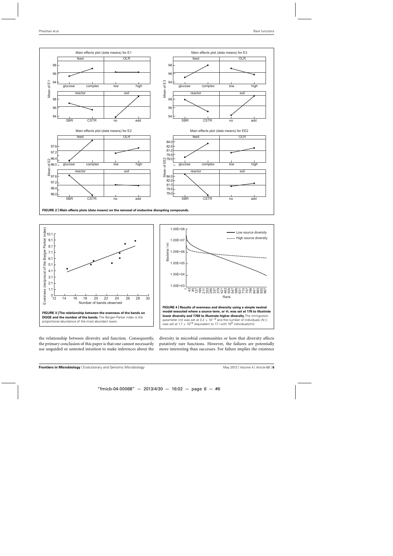<span id="page-6-0"></span>

**FIGURE 2 | Main effects plots (data means) on the removal of endocrine disrupting compounds.**



the relationship between diversity and function. Consequently, the primary conclusion of this paper is that one cannot necessarily use unguided or untested intuition to make inferences about the diversity in microbial communities or how that diversity affects putatively rare functions. However, the failures are potentially more interesting than successes. For failure implies the existence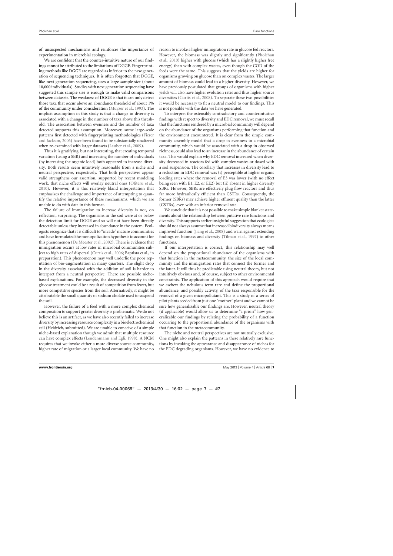of unsuspected mechanisms and reinforces the importance of experimentation in microbial ecology.

We are confident that the counter-intuitive nature of our findings cannot be attributed to the limitations of DGGE. Fingerprinting methods like DGGE are regarded as inferior to the new generation of sequencing techniques. It is often forgotten that DGGE, like next generation sequencing, uses a large sample size (about 10,000 individuals). Studies with next generation sequencing have suggested this sample size is enough to make valid comparisons between datasets. The weakness of DGGE is that it can only detect those taxa that occur above an abundance threshold of about 1% of the community under consideration [\(Muyzer et al., 1993](#page-8-0)). The implicit assumption in this study is that a change in diversity is associated with a change in the number of taxa above this threshold. The association between evenness and the number of taxa detected supports this assumption. Moreover, some large-scale patterns fir[st detected with fingerprinting methodologies \(](#page-8-0)Fierer and Jackson, [2006\)](#page-8-0) have been found to be substantially unaltered when re-examined with larger datasets [\(Lauber et al., 2009](#page-8-0)).

Thus it is gratifying, but not interesting, that creating temporal variation (using a SBR) and increasing the number of individuals (by increasing the organic load) both appeared to increase diversity. Both results seem intuitively reasonable from a niche and neutral perspective, respectively. That both perspectives appear valid strengthens our assertion, supported by recent modeling work, that niche effects will overlay neutral ones [\(Ofiteru et al.](#page-8-0), [2010\)](#page-8-0). However, it is this relatively bland interpretation that emphasizes the challenge and importance of attempting to quantify the relative importance of these mechanisms, which we are unable to do with data in this format.

The failure of immigration to increase diversity is not, on reflection, surprising. The organisms in the soil were at or below the detection limit for DGGE and so will not have been directly detectable unless they increased in abundance in the system. Ecologists recognize that it is difficult to "invade"mature communities and have formulated the monopolization hypothesis to account for this phenomenon [\(De Meester et al., 2002](#page-8-0)). There is evidence that immigration occurs at low rates in microbial communities subject to high rates of dispersal [\(Curtis et al., 2006](#page-8-0); Baptista et al., in preparation). This phenomenon may well underlie the poor reputation of bio-augmentation in many quarters. The slight drop in the diversity associated with the addition of soil is harder to interpret from a neutral perspective. There are possible nichebased explanations. For example, the decreased diversity in the glucose treatment could be a result of competition from fewer, but more competitive species from the soil. Alternatively, it might be attributable the small quantity of sodium cholate used to suspend the soil.

However, the failure of a feed with a more complex chemical composition to support greater diversity is problematic. We do not believe this is an artifact, as we have also recently failed to increase diversity by increasing resource complexity in a bioelectrochemical cell (Heidrich, submitted). We are unable to conceive of a simple niche-based explanation though we admit that multiple resource can have complex effects [\(Lendenmann and Egli](#page-8-0), [1998](#page-8-0)). A NCM requires that we invoke either a more diverse source community, higher rate of migration or a larger local community. We have no reason to invoke a higher immigration rate in glucose fed reactors. Ho[wever, the biomass was slightly and significantly \(](#page-8-0)Pholchan et al., [2010\)](#page-8-0) higher with glucose (which has a slightly higher free energy) than with complex wastes, even though the COD of the feeds were the same. This suggests that the yields are higher for organisms growing on glucose than on complex wastes. The larger amount of biomass could lead to a higher diversity. However, we have previously postulated that groups of organisms with higher yields will also have higher evolution rates and thus higher source diversities [\(Curtis et al., 2008](#page-8-0)). To separate these two possibilities it would be necessary to fit a neutral model to our findings. This is not possible with the data we have generated.

To interpret the ostensibly contradictory and counterintuitive findings with respect to diversity and EDC removal, we must recall that the functions rendered by a microbial community will depend on the abundance of the organisms performing that function and the environment encountered. It is clear from the simple community assembly model that a drop in evenness in a microbial community, which would be associated with a drop in observed richness, could also lead to an increase in the abundance of certain taxa. This would explain why EDC removal increased when diversity decreased in reactors fed with complex wastes or dosed with a soil suspension. The corollary that increases in diversity lead to a reduction in EDC removal was (i) perceptible at higher organic loading rates where the removal of E3 was lower (with no effect being seen with E1, E2, or EE2) but (ii) absent in higher diversity SBRs. However, SBRs are effectively plug flow reactors and thus far more hydraulically efficient than CSTRs. Consequently, the former (SBRs) may achieve higher effluent quality than the latter (CSTRs), even with an inferior removal rate.

We conclude that it is not possible to make simple blanket statements about the relationship between putative rare functions and diversity. This supports earlier insightful suggestion that ecologists should not always assume that increased biodiversity always means improved function [\(Jiang et al., 2008\)](#page-8-0) and warn against extending findings on biomass and diversity [\(Tilman et al., 1997](#page-8-0)) to other functions.

If our interpretation is correct, this relationship may well depend on the proportional abundance of the organisms with that function in the metacommunity, the size of the local community and the immigration rates that connect the former and the latter. It will thus be predictable using neutral theory, but not intuitively obvious and, of course, subject to other environmental constraints. The application of this approach would require that we eschew the nebulous term rare and define the proportional abundance, and possibly activity, of the taxa responsible for the removal of a given micropollutant. This is a study of a series of pilot plants seeded from just one "mother" plant and we cannot be sure how generalizable our findings are. However, neutral theory (if applicable) would allow us to determine "a priori" how generalizable our findings by relating the probability of a function occurring to the proportional abundance of the organisms with that function in the metacommunity.

The niche and neutral perspectives are not mutually exclusive. One might also explain the patterns in these relatively rare functions by invoking the appearance and disappearance of niches for the EDC degrading organisms. However, we have no evidence to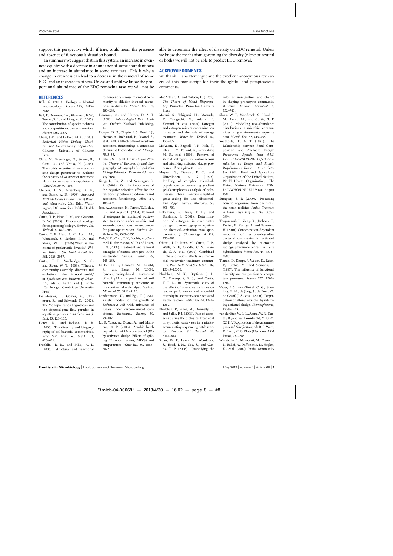<span id="page-8-0"></span>support this perspective which, if true, could mean the presence and absence of functions is situation bound.

In summary we suggest that, in this system, an increase in evenness equates with a decrease in abundance of some abundant taxa and an increase in abundance in some rare taxa. This is why a change in evenness can lead to a decrease in the removal of some EDC and an increase in others. Unless and until we know the proportional abundance of the EDC removing taxa we will not be

#### **REFERENCES**

- Bell, G. (2001). Ecology Neutral macroecology. *Science* 293, 2413– 2418.
- Bell, T., Newman, J. A., Silverman, B.W., Turner, S. L., and Lilley, A. K. (2005). The contribution of species richness and composition to bacterial services. *Nature* 436, 1157.
- Chase, J. M., and Leibold, M. A. (2003). *Ecological Niches Linking Classical and Contemporary Approaches*. Chicago: University of Chicago Press.
- Clara, M., Kreuzinger, N., Strenn, B., Gans, O., and Kroiss, H. (2005). The solids retention time - a suitable design parameter to evaluate the capacity of wastewater treatment plants to remove micropollutants. *Water Res.* 39, 97–106.
- Clesceri, L. S., Greenberg, A. E., and Eaton, A. D. (1998). *Standard Methods for the Examination of Water and Wastewater*, 20th Edn. Washington, DC: American Public Health Association.
- Curtis, T. P., Head, I. M., and Graham, D. W. (2003). Theoretical ecology for engineering biology. *Environ. Sci. Technol.* 37, 64A–70A.
- Curtis, T. P., Head, I. M., Lunn, M., Woodcock, S., Schloss, P. D., and Sloan, W. T. (2006).What is the extent of prokaryotic diversity? *Philos. Trans. R Soc. Lond. B Biol. Sci.* 361, 2023–2037.
- Curtis, T. P., Wallbridge, N. C., and Sloan, W. T. (2008). "Theory, community assembly, diversity and evolution in the microbial world," in *Speciation and Patterns of Diversity*, eds R. Butlin and J. Bridle (Cambridge: Cambridge University Press).
- De Meester, L., Gomez, A., Okamura, B., and Schwenk, K. (2002). The Monopolization Hypothesis and the dispersal-gene flow paradox in aquatic organisms. *Acta Oecol. Int. J. Ecol.* 23, 121–135.
- Fierer, N., and Jackson, R. B. (2006). The diversity and biogeography of soil bacterial communities. *Proc. Natl. Acad. Sci. U.S.A.* 103, 626–631.
- Franklin, R. B., and Mills, A. L. (2006). Structural and functional

responses of a sewage microbial community to dilution-induced reductions in diversity. *Microb. Ecol.* 52, 280–288.

- Hammer, O., and Harper, D. A. T. (2006). *Paleontological Data Analysis*. Oxford: Blackwell Publishing, 1–351.
- Hooper, D. U., Chapin, F. S., Ewel, J. J., Hector, A., Inchausti, P., Lavorel, S., et al. (2005). Effects of biodiversity on ecosystem functioning: a consensus of current knowledge. *Ecol. Monogr.* 75, 3–35.
- Hubbell, S. P. (2001). *The Unified Neutral Theory of Biodiversity and Biogeography*. *Monographs in Population Biology*. Princeton: Princeton University Press.
- Jiang, L., Pu, Z., and Nemergut, D. R. (2008). On the importance of the negative selection effect for the relationship between biodiversity and ecosystem functioning. *Oikos* 117, 488–493.
- Joss, A., Andersen, H., Ternes, T., Richle, P. R., and Siegrist, H. (2004). Removal of estrogens in municipal wastewater treatment under aerobic and anaerobic conditions: consequences for plant optimization. *Environ. Sci. Technol.* 38, 3047–3055.
- Koh, Y. K., Chui, T. Y., Boobis, A., Cartmell, E., Scrimshaw, M. D. and Lester, J. N. (2008). Treatment and removal strategies of natural estrogens in the wastewater. *Environ. Technol.* 29, 245–268.
- Lauber, C. L., Hamady, M., Knight, R., and Fierer, N. (2009). Pyrosequencing-based assessment of soil pH as a predictor of soil bacterial community structure at the continental scale. *Appl. Environ. Microbiol.* 75, 5111–5120.
- Lendenmann, U., and Egli, T. (1998). Kinetic models for the growth of *Escherichia coli* with mixtures of sugars under carbon-limited conditions. *Biotechnol. Bioeng.* 59, 99–107.
- Li, F., Yuasa, A., Obara, A., and Mathews, A. P. (2005). Aerobic batch degradation of 17-beta estradiol (E2) by activated sludge: Effects of spiking E2 concentrations, MLVSS and temperatures. *Water Res.* 39, 2065– 2075.

able to determine the effect of diversity on EDC removal. Unless we know the mechanism governing the diversity (niche or neutral or both) we will not be able to predict EDC removal.

## **ACKNOWLEDGMENTS**

We thank Diana Nemergut and the excellent anonymous reviewers of this manuscript for their thoughtful and perspicacious comments.

- MacArthur, R., and Wilson, E. (1967). *The Theory of Island Biogeography*. Princeton: Princeton Univerity Press.
- Matsui, S., Takigami, H., Matsuda, T., Taniguchi, N., Adachi, J., Kawami, H., et al. (2000). Estrogen and estrogen mimics contamination in water and the role of sewage treatment. *Water Sci. Technol.* 42, 173–179.
- McAdam, E., Bagnall, J. P., Koh, Y., Chiu, T. Y., Pollard, S., Scrimshaw, M. D., et al. (2010). Removal of steroid estrogens in carbonaceous and nitrifying activated sludge processes. *Chemosphere* 81, 1–6.
- Muyzer, G., Dewaal, E. C., and<br>Uitterlinden, A. G. (1993). A. G. (1993). Profiling of complex microbialpopulations by denaturing gradient gel-electrophoresis analysis of polymerase chain reaction-amplified genes-coding for 16s ribosomal-Rna. *Appl. Environ. Microbiol.* 59, 695–700.
- Nakamura, S., Sian, T. H., and Daishima, S. (2001). Determination of estrogens in river water by gas chromatography-negativeion chemical-ionization mass spectrometry. *J. Chromatogr. A* 919, 275–282.
- Ofiteru, I. D. Lunn, M., Curtis, T. P., Wells, G. F., Criddle, C. S., Francis, C. A., et al. (2010). Combined niche and neutral effects in a microbial wastewater treatment community. *Proc. Natl. Acad.Sci. U.S.A.* 107, 15345–15350.
- Pholchan, M. K., Baptista, J. D. C., Davenport, R. J., and Curtis, T. P. (2010). Systematic study of the effect of operating variables on reactor performance and microbial diversity in laboratory-scale activated sludge reactors. *Water Res.* 44, 1341– 1352.
- Pholchan, P., Jones, M., Donnelly, T., and Sallis, P. J. (2008). Fate of estrogens during the biological treatment of synthetic wastewater in a nitriteaccumulating sequencing batch reactor. *Environ. Sci. Technol.* 42, 6141–6147.
- Sloan, W. T., Lunn, M., Woodcock, S., Head, I. M., Nee, S., and Curtis, T. P. (2006). Quantifying the

roles of immigration and chance in shaping prokaryote community structure. *Environ. Microbiol.* 8, 732–740.

- Sloan, W. T., Woodcock, S., Head, I. M., Lunn, M., and Curtis, T. P. (2007). Modelling taxa-abundance distributions in microbial communities using environmental sequence data. *Microb. Ecol.* 53, 443–455.
- Southgate, D. A. T. (1981). The Relationship between Food Composition and Available Energy. *Provisional Agenda Item 4.1.3*, *Joint FAO/WHO/UNU Expert Consultation on Energy and Protein Requirements, Rome, 5 to 17 October 1981.* Food and Agriculture Organization of the United Nations, World Health Organization, The United Nations University. ESN: FAO/WHO/UNU EPR/81/41 August 1981.
- Sumpter, J. P. (2009). Protecting aquatic organisms from chemicals: the harsh realities. *Philos. Transact. A Math. Phys. Eng. Sci.* 367, 3877– 3894.
- Thayanukul, P., Zang, K., Janhom, T., Kurisu, F., Kasuga, I., and Fururnai, H. (2010). Concentration-dependent response of estrone-degrading bacterial community in activated sludge analyzed by microauto radiography-fiuorescence in situ hybridization. *Water Res.* 44, 4878– 4887.
- Tilman, D., Knops, J., Wedin, D., Reich, P., Ritchie, M., and Siemann, E. (1997). The influence of functional diversity and composition on ecosystem processes. *Science* 277, 1300– 1302.
- Vader, J. S., van Ginkel, C. G., Sperling, F. M., de Jong, J., de Boer, W., de Graaf, J. S., et al. (2000). Degradation of ethinyl estradiol by nitrifying activated sludge. *Chemosphere* 41, 1239–1243.
- van der Star, W. R. L., Abma, W. R., Kartal, B., and van Loosdrecht, M. C. M. (2011). "Application of the anammox process,"*Nitrification*, eds B. B. Ward, D. J. Arp, M. G. Klotz (Herndon: ASM Press), 237–263.
- Wittebolle, L., Marzorati, M., Clement, L., Balloi, A., Daffonchio, D., Heylen, K., et al. (2009). Initial community